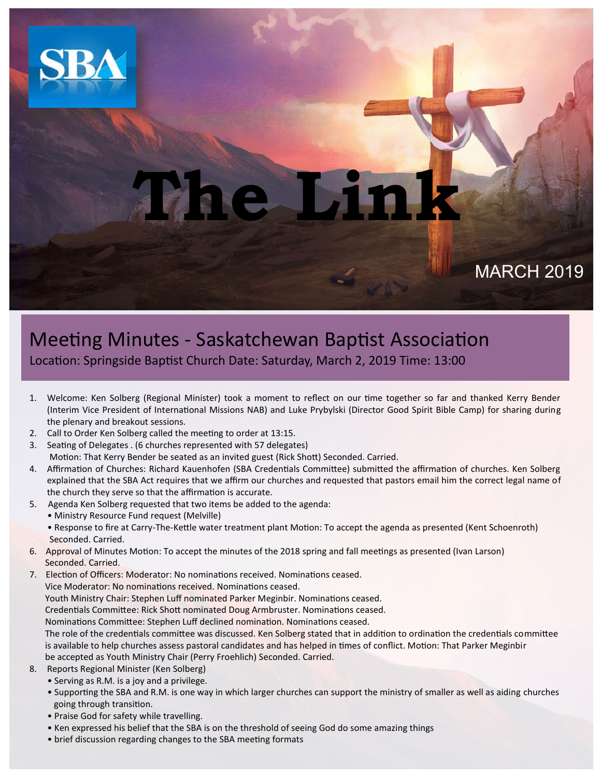

# **The Link**

MARCH 2019

### Meeting Minutes - Saskatchewan Baptist Association Location: Springside Baptist Church Date: Saturday, March 2, 2019 Time: 13:00

- 1. Welcome: Ken Solberg (Regional Minister) took a moment to reflect on our time together so far and thanked Kerry Bender (Interim Vice President of International Missions NAB) and Luke Prybylski (Director Good Spirit Bible Camp) for sharing during the plenary and breakout sessions.
- 2. Call to Order Ken Solberg called the meeting to order at 13:15.
- 3. Seating of Delegates . (6 churches represented with 57 delegates) Motion: That Kerry Bender be seated as an invited guest (Rick Shott) Seconded. Carried.
- 4. Affirmation of Churches: Richard Kauenhofen (SBA Credentials Committee) submitted the affirmation of churches. Ken Solberg explained that the SBA Act requires that we affirm our churches and requested that pastors email him the correct legal name of the church they serve so that the affirmation is accurate.
- 5. Agenda Ken Solberg requested that two items be added to the agenda:
	- Ministry Resource Fund request (Melville)
	- Response to fire at Carry-The-Kettle water treatment plant Motion: To accept the agenda as presented (Kent Schoenroth) Seconded. Carried.
- 6. Approval of Minutes Motion: To accept the minutes of the 2018 spring and fall meetings as presented (Ivan Larson) Seconded. Carried.
- 7. Election of Officers: Moderator: No nominations received. Nominations ceased. Vice Moderator: No nominations received. Nominations ceased. Youth Ministry Chair: Stephen Luff nominated Parker Meginbir. Nominations ceased. Credentials Committee: Rick Shott nominated Doug Armbruster. Nominations ceased. Nominations Committee: Stephen Luff declined nomination. Nominations ceased. The role of the credentials committee was discussed. Ken Solberg stated that in addition to ordination the credentials committee is available to help churches assess pastoral candidates and has helped in times of conflict. Motion: That Parker Meginbir be accepted as Youth Ministry Chair (Perry Froehlich) Seconded. Carried.
- 8. Reports Regional Minister (Ken Solberg)
	- Serving as R.M. is a joy and a privilege.
	- Supporting the SBA and R.M. is one way in which larger churches can support the ministry of smaller as well as aiding churches going through transition.
	- Praise God for safety while travelling.
	- Ken expressed his belief that the SBA is on the threshold of seeing God do some amazing things
	- brief discussion regarding changes to the SBA meeting formats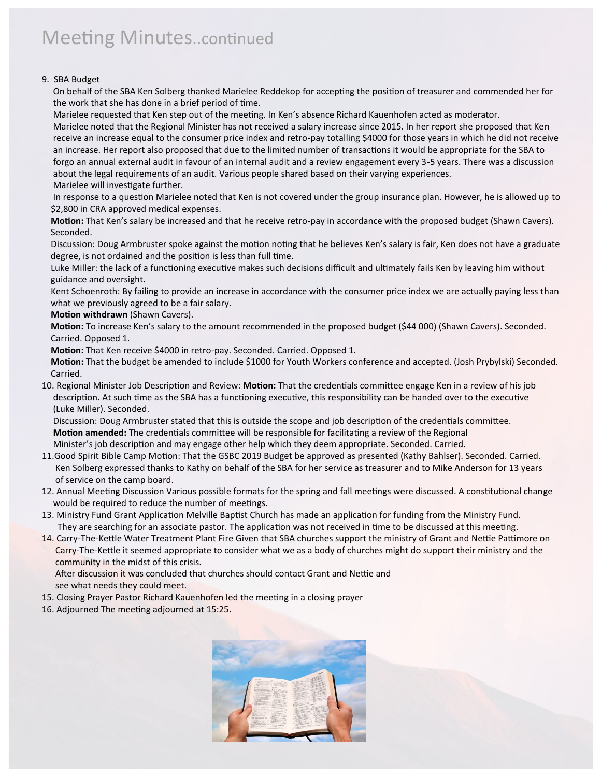## Meeting Minutes..continued

#### 9. SBA Budget

 On behalf of the SBA Ken Solberg thanked Marielee Reddekop for accepting the position of treasurer and commended her for the work that she has done in a brief period of time.

Marielee requested that Ken step out of the meeting. In Ken's absence Richard Kauenhofen acted as moderator.

 Marielee noted that the Regional Minister has not received a salary increase since 2015. In her report she proposed that Ken receive an increase equal to the consumer price index and retro-pay totalling \$4000 for those years in which he did not receive an increase. Her report also proposed that due to the limited number of transactions it would be appropriate for the SBA to forgo an annual external audit in favour of an internal audit and a review engagement every 3-5 years. There was a discussion about the legal requirements of an audit. Various people shared based on their varying experiences. Marielee will investigate further.

 In response to a question Marielee noted that Ken is not covered under the group insurance plan. However, he is allowed up to \$2,800 in CRA approved medical expenses.

 **Motion:** That Ken's salary be increased and that he receive retro-pay in accordance with the proposed budget (Shawn Cavers). Seconded.

 Discussion: Doug Armbruster spoke against the motion noting that he believes Ken's salary is fair, Ken does not have a graduate degree, is not ordained and the position is less than full time.

 Luke Miller: the lack of a functioning executive makes such decisions difficult and ultimately fails Ken by leaving him without guidance and oversight.

 Kent Schoenroth: By failing to provide an increase in accordance with the consumer price index we are actually paying less than what we previously agreed to be a fair salary.

#### **Motion withdrawn** (Shawn Cavers).

 **Motion:** To increase Ken's salary to the amount recommended in the proposed budget (\$44 000) (Shawn Cavers). Seconded. Carried. Opposed 1.

**Motion:** That Ken receive \$4000 in retro-pay. Seconded. Carried. Opposed 1.

 **Motion:** That the budget be amended to include \$1000 for Youth Workers conference and accepted. (Josh Prybylski) Seconded. Carried.

10. Regional Minister Job Description and Review: **Motion:** That the credentials committee engage Ken in a review of his job description. At such time as the SBA has a functioning executive, this responsibility can be handed over to the executive (Luke Miller). Seconded.

 Discussion: Doug Armbruster stated that this is outside the scope and job description of the credentials committee. **Motion amended:** The credentials committee will be responsible for facilitating a review of the Regional

Minister's job description and may engage other help which they deem appropriate. Seconded. Carried.

- 11.Good Spirit Bible Camp Motion: That the GSBC 2019 Budget be approved as presented (Kathy Bahlser). Seconded. Carried. Ken Solberg expressed thanks to Kathy on behalf of the SBA for her service as treasurer and to Mike Anderson for 13 years of service on the camp board.
- 12. Annual Meeting Discussion Various possible formats for the spring and fall meetings were discussed. A constitutional change would be required to reduce the number of meetings.
- 13. Ministry Fund Grant Application Melville Baptist Church has made an application for funding from the Ministry Fund. They are searching for an associate pastor. The application was not received in time to be discussed at this meeting.
- 14. Carry-The-Kettle Water Treatment Plant Fire Given that SBA churches support the ministry of Grant and Nettie Pattimore on Carry-The-Kettle it seemed appropriate to consider what we as a body of churches might do support their ministry and the community in the midst of this crisis.

 After discussion it was concluded that churches should contact Grant and Nettie and see what needs they could meet.

- 15. Closing Prayer Pastor Richard Kauenhofen led the meeting in a closing prayer
- 16. Adjourned The meeting adjourned at 15:25.